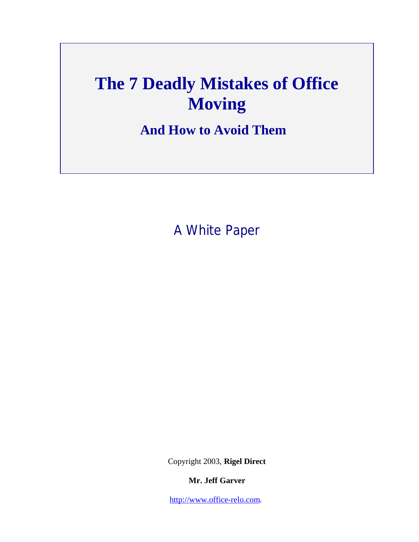# **The 7 Deadly Mistakes of Office Moving**

**And How to Avoid Them** 

A White Paper

Copyright 2003, **Rigel Direct**

**Mr. Jeff Garver**

http://www.office-relo.com.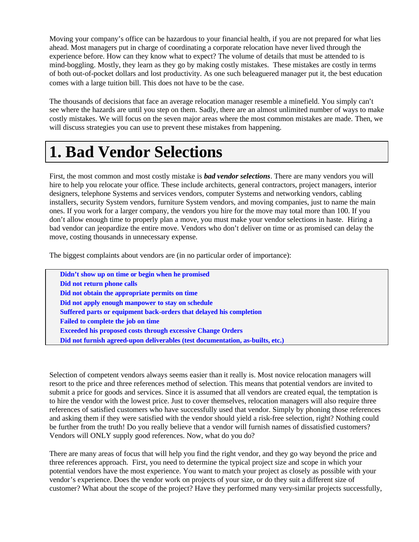Moving your company's office can be hazardous to your financial health, if you are not prepared for what lies ahead. Most managers put in charge of coordinating a corporate relocation have never lived through the experience before. How can they know what to expect? The volume of details that must be attended to is mind-boggling. Mostly, they learn as they go by making costly mistakes. These mistakes are costly in terms of both out-of-pocket dollars and lost productivity. As one such beleaguered manager put it, the best education comes with a large tuition bill. This does not have to be the case.

The thousands of decisions that face an average relocation manager resemble a minefield. You simply can't see where the hazards are until you step on them. Sadly, there are an almost unlimited number of ways to make costly mistakes. We will focus on the seven major areas where the most common mistakes are made. Then, we will discuss strategies you can use to prevent these mistakes from happening.

### **1. Bad Vendor Selections**

First, the most common and most costly mistake is *bad vendor selections*. There are many vendors you will hire to help you relocate your office. These include architects, general contractors, project managers, interior designers, telephone Systems and services vendors, computer Systems and networking vendors, cabling installers, security System vendors, furniture System vendors, and moving companies, just to name the main ones. If you work for a larger company, the vendors you hire for the move may total more than 100. If you don't allow enough time to properly plan a move, you must make your vendor selections in haste. Hiring a bad vendor can jeopardize the entire move. Vendors who don't deliver on time or as promised can delay the move, costing thousands in unnecessary expense.

The biggest complaints about vendors are (in no particular order of importance):

 **Didn't show up on time or begin when he promised Did not return phone calls Did not obtain the appropriate permits on time Did not apply enough manpower to stay on schedule Suffered parts or equipment back-orders that delayed his completion Failed to complete the job on time Exceeded his proposed costs through excessive Change Orders Did not furnish agreed-upon deliverables (test documentation, as-builts, etc.)**

Selection of competent vendors always seems easier than it really is. Most novice relocation managers will resort to the price and three references method of selection. This means that potential vendors are invited to submit a price for goods and services. Since it is assumed that all vendors are created equal, the temptation is to hire the vendor with the lowest price. Just to cover themselves, relocation managers will also require three references of satisfied customers who have successfully used that vendor. Simply by phoning those references and asking them if they were satisfied with the vendor should yield a risk-free selection, right? Nothing could be further from the truth! Do you really believe that a vendor will furnish names of dissatisfied customers? Vendors will ONLY supply good references. Now, what do you do?

There are many areas of focus that will help you find the right vendor, and they go way beyond the price and three references approach. First, you need to determine the typical project size and scope in which your potential vendors have the most experience. You want to match your project as closely as possible with your vendor's experience. Does the vendor work on projects of your size, or do they suit a different size of customer? What about the scope of the project? Have they performed many very-similar projects successfully,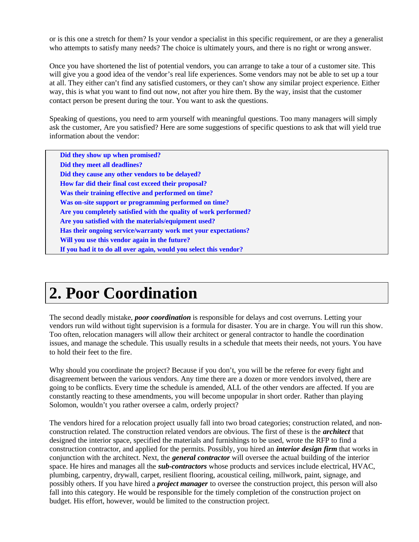or is this one a stretch for them? Is your vendor a specialist in this specific requirement, or are they a generalist who attempts to satisfy many needs? The choice is ultimately yours, and there is no right or wrong answer.

Once you have shortened the list of potential vendors, you can arrange to take a tour of a customer site. This will give you a good idea of the vendor's real life experiences. Some vendors may not be able to set up a tour at all. They either can't find any satisfied customers, or they can't show any similar project experience. Either way, this is what you want to find out now, not after you hire them. By the way, insist that the customer contact person be present during the tour. You want to ask the questions.

Speaking of questions, you need to arm yourself with meaningful questions. Too many managers will simply ask the customer, Are you satisfied? Here are some suggestions of specific questions to ask that will yield true information about the vendor:

 **Did they show up when promised? Did they meet all deadlines? Did they cause any other vendors to be delayed? How far did their final cost exceed their proposal? Was their training effective and performed on time? Was on-site support or programming performed on time? Are you completely satisfied with the quality of work performed? Are you satisfied with the materials/equipment used? Has their ongoing service/warranty work met your expectations? Will you use this vendor again in the future? If you had it to do all over again, would you select this vendor?**

## **2. Poor Coordination**

The second deadly mistake, *poor coordination* is responsible for delays and cost overruns. Letting your vendors run wild without tight supervision is a formula for disaster. You are in charge. You will run this show. Too often, relocation managers will allow their architect or general contractor to handle the coordination issues, and manage the schedule. This usually results in a schedule that meets their needs, not yours. You have to hold their feet to the fire.

Why should you coordinate the project? Because if you don't, you will be the referee for every fight and disagreement between the various vendors. Any time there are a dozen or more vendors involved, there are going to be conflicts. Every time the schedule is amended, ALL of the other vendors are affected. If you are constantly reacting to these amendments, you will become unpopular in short order. Rather than playing Solomon, wouldn't you rather oversee a calm, orderly project?

The vendors hired for a relocation project usually fall into two broad categories; construction related, and nonconstruction related. The construction related vendors are obvious. The first of these is the *architect* that designed the interior space, specified the materials and furnishings to be used, wrote the RFP to find a construction contractor, and applied for the permits. Possibly, you hired an *interior design firm* that works in conjunction with the architect. Next, the *general contractor* will oversee the actual building of the interior space. He hires and manages all the *sub-contractors* whose products and services include electrical, HVAC, plumbing, carpentry, drywall, carpet, resilient flooring, acoustical ceiling, millwork, paint, signage, and possibly others. If you have hired a *project manager* to oversee the construction project, this person will also fall into this category. He would be responsible for the timely completion of the construction project on budget. His effort, however, would be limited to the construction project.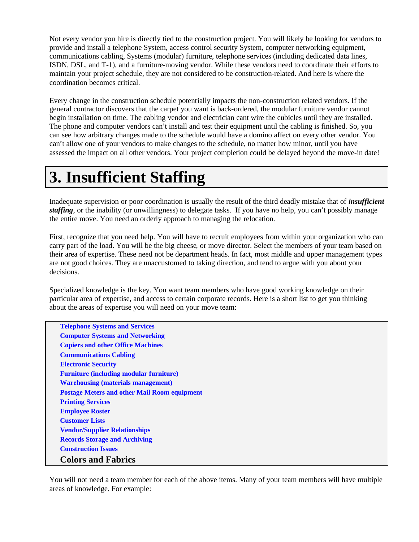Not every vendor you hire is directly tied to the construction project. You will likely be looking for vendors to provide and install a telephone System, access control security System, computer networking equipment, communications cabling, Systems (modular) furniture, telephone services (including dedicated data lines, ISDN, DSL, and T-1), and a furniture-moving vendor. While these vendors need to coordinate their efforts to maintain your project schedule, they are not considered to be construction-related. And here is where the coordination becomes critical.

Every change in the construction schedule potentially impacts the non-construction related vendors. If the general contractor discovers that the carpet you want is back-ordered, the modular furniture vendor cannot begin installation on time. The cabling vendor and electrician cant wire the cubicles until they are installed. The phone and computer vendors can't install and test their equipment until the cabling is finished. So, you can see how arbitrary changes made to the schedule would have a domino affect on every other vendor. You can't allow one of your vendors to make changes to the schedule, no matter how minor, until you have assessed the impact on all other vendors. Your project completion could be delayed beyond the move-in date!

## **3. Insufficient Staffing**

Inadequate supervision or poor coordination is usually the result of the third deadly mistake that of *insufficient staffing*, or the inability (or unwillingness) to delegate tasks. If you have no help, you can't possibly manage the entire move. You need an orderly approach to managing the relocation.

First, recognize that you need help. You will have to recruit employees from within your organization who can carry part of the load. You will be the big cheese, or move director. Select the members of your team based on their area of expertise. These need not be department heads. In fact, most middle and upper management types are not good choices. They are unaccustomed to taking direction, and tend to argue with you about your decisions.

Specialized knowledge is the key. You want team members who have good working knowledge on their particular area of expertise, and access to certain corporate records. Here is a short list to get you thinking about the areas of expertise you will need on your move team:

 **Telephone Systems and Services Computer Systems and Networking Copiers and other Office Machines Communications Cabling Electronic Security Furniture (including modular furniture) Warehousing (materials management) Postage Meters and other Mail Room equipment Printing Services Employee Roster Customer Lists Vendor/Supplier Relationships Records Storage and Archiving Construction Issues Colors and Fabrics**

You will not need a team member for each of the above items. Many of your team members will have multiple areas of knowledge. For example: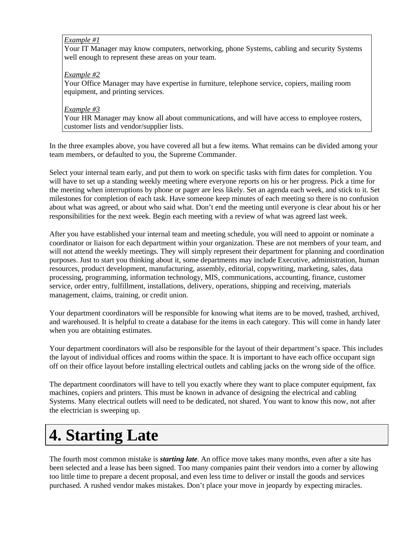### *Example #1*

Your IT Manager may know computers, networking, phone Systems, cabling and security Systems well enough to represent these areas on your team.

### *Example #2*

Your Office Manager may have expertise in furniture, telephone service, copiers, mailing room equipment, and printing services.

### *Example #3*

Your HR Manager may know all about communications, and will have access to employee rosters, customer lists and vendor/supplier lists.

In the three examples above, you have covered all but a few items. What remains can be divided among your team members, or defaulted to you, the Supreme Commander.

Select your internal team early, and put them to work on specific tasks with firm dates for completion. You will have to set up a standing weekly meeting where everyone reports on his or her progress. Pick a time for the meeting when interruptions by phone or pager are less likely. Set an agenda each week, and stick to it. Set milestones for completion of each task. Have someone keep minutes of each meeting so there is no confusion about what was agreed, or about who said what. Don't end the meeting until everyone is clear about his or her responsibilities for the next week. Begin each meeting with a review of what was agreed last week.

After you have established your internal team and meeting schedule, you will need to appoint or nominate a coordinator or liaison for each department within your organization. These are not members of your team, and will not attend the weekly meetings. They will simply represent their department for planning and coordination purposes. Just to start you thinking about it, some departments may include Executive, administration, human resources, product development, manufacturing, assembly, editorial, copywriting, marketing, sales, data processing, programming, information technology, MIS, communications, accounting, finance, customer service, order entry, fulfillment, installations, delivery, operations, shipping and receiving, materials management, claims, training, or credit union.

Your department coordinators will be responsible for knowing what items are to be moved, trashed, archived, and warehoused. It is helpful to create a database for the items in each category. This will come in handy later when you are obtaining estimates.

Your department coordinators will also be responsible for the layout of their department's space. This includes the layout of individual offices and rooms within the space. It is important to have each office occupant sign off on their office layout before installing electrical outlets and cabling jacks on the wrong side of the office.

The department coordinators will have to tell you exactly where they want to place computer equipment, fax machines, copiers and printers. This must be known in advance of designing the electrical and cabling Systems. Many electrical outlets will need to be dedicated, not shared. You want to know this now, not after the electrician is sweeping up.

## **4. Starting Late**

The fourth most common mistake is *starting late*. An office move takes many months, even after a site has been selected and a lease has been signed. Too many companies paint their vendors into a corner by allowing too little time to prepare a decent proposal, and even less time to deliver or install the goods and services purchased. A rushed vendor makes mistakes. Don't place your move in jeopardy by expecting miracles.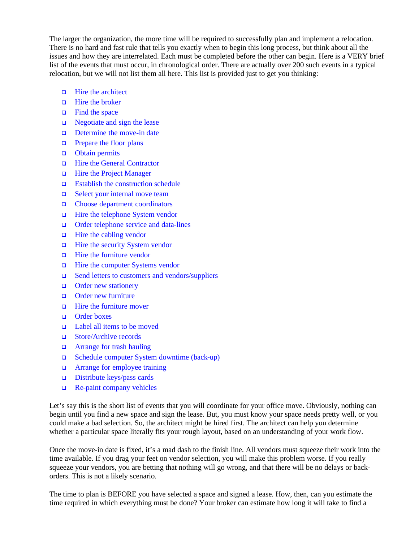The larger the organization, the more time will be required to successfully plan and implement a relocation. There is no hard and fast rule that tells you exactly when to begin this long process, but think about all the issues and how they are interrelated. Each must be completed before the other can begin. Here is a VERY brief list of the events that must occur, in chronological order. There are actually over 200 such events in a typical relocation, but we will not list them all here. This list is provided just to get you thinking:

- **q** Hire the architect
- $\Box$  Hire the broker
- $\Box$  Find the space
- $\Box$  Negotiate and sign the lease
- $\Box$  Determine the move-in date
- $\Box$  Prepare the floor plans
- **q** Obtain permits
- **q** Hire the General Contractor
- **q** Hire the Project Manager
- $\Box$  Establish the construction schedule
- $\Box$  Select your internal move team
- **Q** Choose department coordinators
- $\Box$  Hire the telephone System vendor
- **Q** Order telephone service and data-lines
- $\Box$  Hire the cabling vendor
- **Q** Hire the security System vendor
- q Hire the furniture vendor
- q Hire the computer Systems vendor
- $\Box$  Send letters to customers and vendors/suppliers
- **Q** Order new stationery
- **q** Order new furniture
- q Hire the furniture mover
- **q** Order boxes
- **□** Label all items to be moved
- □ Store/Archive records
- **q** Arrange for trash hauling
- q Schedule computer System downtime (back-up)
- **Q** Arrange for employee training
- $\Box$  Distribute keys/pass cards
- $\Box$  Re-paint company vehicles

Let's say this is the short list of events that you will coordinate for your office move. Obviously, nothing can begin until you find a new space and sign the lease. But, you must know your space needs pretty well, or you could make a bad selection. So, the architect might be hired first. The architect can help you determine whether a particular space literally fits your rough layout, based on an understanding of your work flow.

Once the move-in date is fixed, it's a mad dash to the finish line. All vendors must squeeze their work into the time available. If you drag your feet on vendor selection, you will make this problem worse. If you really squeeze your vendors, you are betting that nothing will go wrong, and that there will be no delays or backorders. This is not a likely scenario.

The time to plan is BEFORE you have selected a space and signed a lease. How, then, can you estimate the time required in which everything must be done? Your broker can estimate how long it will take to find a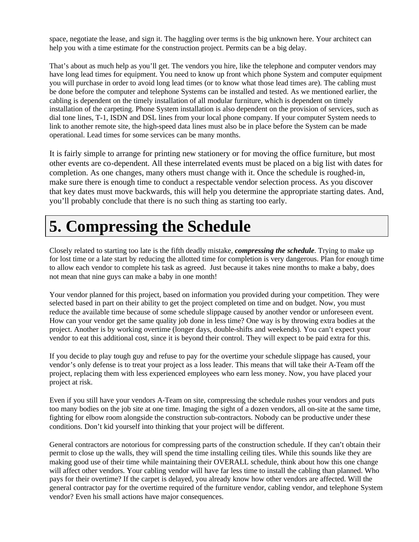space, negotiate the lease, and sign it. The haggling over terms is the big unknown here. Your architect can help you with a time estimate for the construction project. Permits can be a big delay.

That's about as much help as you'll get. The vendors you hire, like the telephone and computer vendors may have long lead times for equipment. You need to know up front which phone System and computer equipment you will purchase in order to avoid long lead times (or to know what those lead times are). The cabling must be done before the computer and telephone Systems can be installed and tested. As we mentioned earlier, the cabling is dependent on the timely installation of all modular furniture, which is dependent on timely installation of the carpeting. Phone System installation is also dependent on the provision of services, such as dial tone lines, T-1, ISDN and DSL lines from your local phone company. If your computer System needs to link to another remote site, the high-speed data lines must also be in place before the System can be made operational. Lead times for some services can be many months.

It is fairly simple to arrange for printing new stationery or for moving the office furniture, but most other events are co-dependent. All these interrelated events must be placed on a big list with dates for completion. As one changes, many others must change with it. Once the schedule is roughed-in, make sure there is enough time to conduct a respectable vendor selection process. As you discover that key dates must move backwards, this will help you determine the appropriate starting dates. And, you'll probably conclude that there is no such thing as starting too early.

## **5. Compressing the Schedule**

Closely related to starting too late is the fifth deadly mistake, *compressing the schedule*. Trying to make up for lost time or a late start by reducing the allotted time for completion is very dangerous. Plan for enough time to allow each vendor to complete his task as agreed. Just because it takes nine months to make a baby, does not mean that nine guys can make a baby in one month!

Your vendor planned for this project, based on information you provided during your competition. They were selected based in part on their ability to get the project completed on time and on budget. Now, you must reduce the available time because of some schedule slippage caused by another vendor or unforeseen event. How can your vendor get the same quality job done in less time? One way is by throwing extra bodies at the project. Another is by working overtime (longer days, double-shifts and weekends). You can't expect your vendor to eat this additional cost, since it is beyond their control. They will expect to be paid extra for this.

If you decide to play tough guy and refuse to pay for the overtime your schedule slippage has caused, your vendor's only defense is to treat your project as a loss leader. This means that will take their A-Team off the project, replacing them with less experienced employees who earn less money. Now, you have placed your project at risk.

Even if you still have your vendors A-Team on site, compressing the schedule rushes your vendors and puts too many bodies on the job site at one time. Imaging the sight of a dozen vendors, all on-site at the same time, fighting for elbow room alongside the construction sub-contractors. Nobody can be productive under these conditions. Don't kid yourself into thinking that your project will be different.

General contractors are notorious for compressing parts of the construction schedule. If they can't obtain their permit to close up the walls, they will spend the time installing ceiling tiles. While this sounds like they are making good use of their time while maintaining their OVERALL schedule, think about how this one change will affect other vendors. Your cabling vendor will have far less time to install the cabling than planned. Who pays for their overtime? If the carpet is delayed, you already know how other vendors are affected. Will the general contractor pay for the overtime required of the furniture vendor, cabling vendor, and telephone System vendor? Even his small actions have major consequences.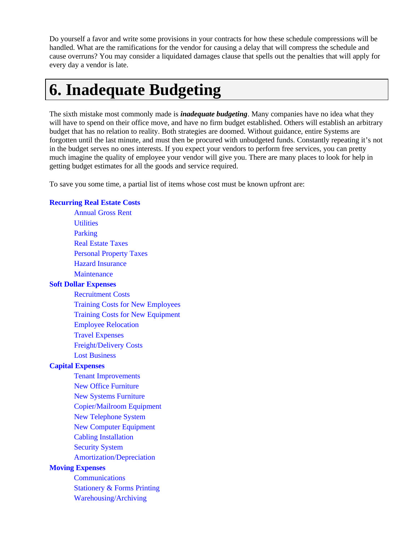Do yourself a favor and write some provisions in your contracts for how these schedule compressions will be handled. What are the ramifications for the vendor for causing a delay that will compress the schedule and cause overruns? You may consider a liquidated damages clause that spells out the penalties that will apply for every day a vendor is late.

### **6. Inadequate Budgeting**

The sixth mistake most commonly made is *inadequate budgeting*. Many companies have no idea what they will have to spend on their office move, and have no firm budget established. Others will establish an arbitrary budget that has no relation to reality. Both strategies are doomed. Without guidance, entire Systems are forgotten until the last minute, and must then be procured with unbudgeted funds. Constantly repeating it's not in the budget serves no ones interests. If you expect your vendors to perform free services, you can pretty much imagine the quality of employee your vendor will give you. There are many places to look for help in getting budget estimates for all the goods and service required.

To save you some time, a partial list of items whose cost must be known upfront are:

### **Recurring Real Estate Costs**

Annual Gross Rent **Utilities** Parking Real Estate Taxes Personal Property Taxes Hazard Insurance **Maintenance Soft Dollar Expenses** Recruitment Costs Training Costs for New Employees Training Costs for New Equipment Employee Relocation Travel Expenses Freight/Delivery Costs Lost Business **Capital Expenses** Tenant Improvements New Office Furniture New Systems Furniture Copier/Mailroom Equipment New Telephone System New Computer Equipment Cabling Installation Security System Amortization/Depreciation **Moving Expenses Communications** Stationery & Forms Printing Warehousing/Archiving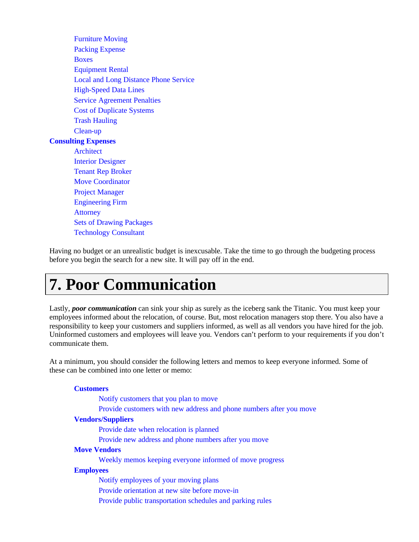Furniture Moving Packing Expense Boxes Equipment Rental Local and Long Distance Phone Service High-Speed Data Lines Service Agreement Penalties Cost of Duplicate Systems Trash Hauling Clean-up **Consulting Expenses** Architect Interior Designer Tenant Rep Broker Move Coordinator Project Manager Engineering Firm **Attorney** Sets of Drawing Packages Technology Consultant

Having no budget or an unrealistic budget is inexcusable. Take the time to go through the budgeting process before you begin the search for a new site. It will pay off in the end.

### **7. Poor Communication**

Lastly, **poor communication** can sink your ship as surely as the iceberg sank the Titanic. You must keep your employees informed about the relocation, of course. But, most relocation managers stop there. You also have a responsibility to keep your customers and suppliers informed, as well as all vendors you have hired for the job. Uninformed customers and employees will leave you. Vendors can't perform to your requirements if you don't communicate them.

At a minimum, you should consider the following letters and memos to keep everyone informed. Some of these can be combined into one letter or memo:

#### **Customers**

Notify customers that you plan to move

Provide customers with new address and phone numbers after you move

### **Vendors/Suppliers**

Provide date when relocation is planned

Provide new address and phone numbers after you move

#### **Move Vendors**

Weekly memos keeping everyone informed of move progress

### **Employees**

Notify employees of your moving plans

Provide orientation at new site before move-in

Provide public transportation schedules and parking rules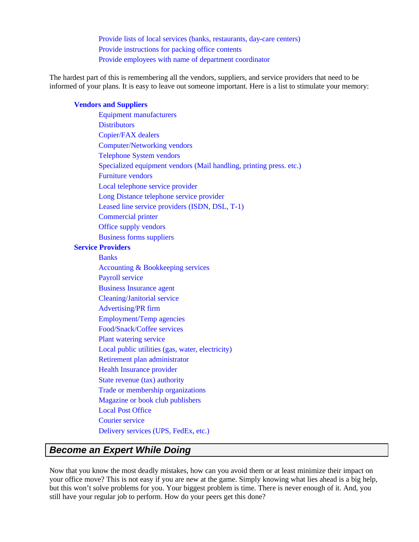Provide lists of local services (banks, restaurants, day-care centers) Provide instructions for packing office contents Provide employees with name of department coordinator

The hardest part of this is remembering all the vendors, suppliers, and service providers that need to be informed of your plans. It is easy to leave out someone important. Here is a list to stimulate your memory:

### **Vendors and Suppliers**

Equipment manufacturers **Distributors** Copier/FAX dealers Computer/Networking vendors Telephone System vendors Specialized equipment vendors (Mail handling, printing press. etc.) Furniture vendors Local telephone service provider Long Distance telephone service provider Leased line service providers (ISDN, DSL, T-1) Commercial printer Office supply vendors Business forms suppliers **Service Providers Banks** Accounting & Bookkeeping services Payroll service Business Insurance agent Cleaning/Janitorial service Advertising/PR firm Employment/Temp agencies Food/Snack/Coffee services Plant watering service Local public utilities (gas, water, electricity) Retirement plan administrator Health Insurance provider State revenue (tax) authority Trade or membership organizations Magazine or book club publishers Local Post Office Courier service Delivery services (UPS, FedEx, etc.)

### *Become an Expert While Doing*

Now that you know the most deadly mistakes, how can you avoid them or at least minimize their impact on your office move? This is not easy if you are new at the game. Simply knowing what lies ahead is a big help, but this won't solve problems for you. Your biggest problem is time. There is never enough of it. And, you still have your regular job to perform. How do your peers get this done?